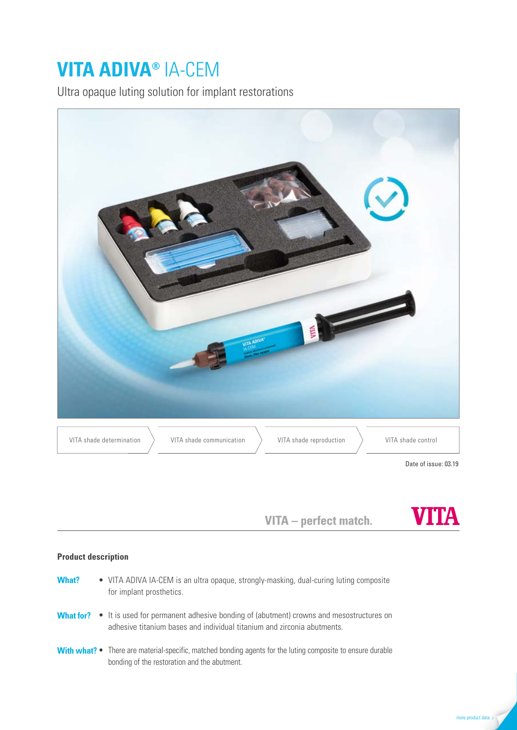# **VITA ADIVA®** IA-CEM

Ultra opaque luting solution for implant restorations



VITA - perfect match.



## **Product description**

| <b>What?</b> | • VITA ADIVA IA-CEM is an ultra opaque, strongly-masking, dual-curing luting composite<br>for implant prosthetics.                                                                         |
|--------------|--------------------------------------------------------------------------------------------------------------------------------------------------------------------------------------------|
|              | <b>What for?</b> $\bullet$ It is used for permanent adhesive bonding of (abutment) crowns and mesostructures on<br>adhesive titanium bases and individual titanium and zirconia abutments. |
|              | <b>With what?</b> • There are material-specific, matched bonding agents for the luting composite to ensure durable<br>bonding of the restoration and the abutment.                         |